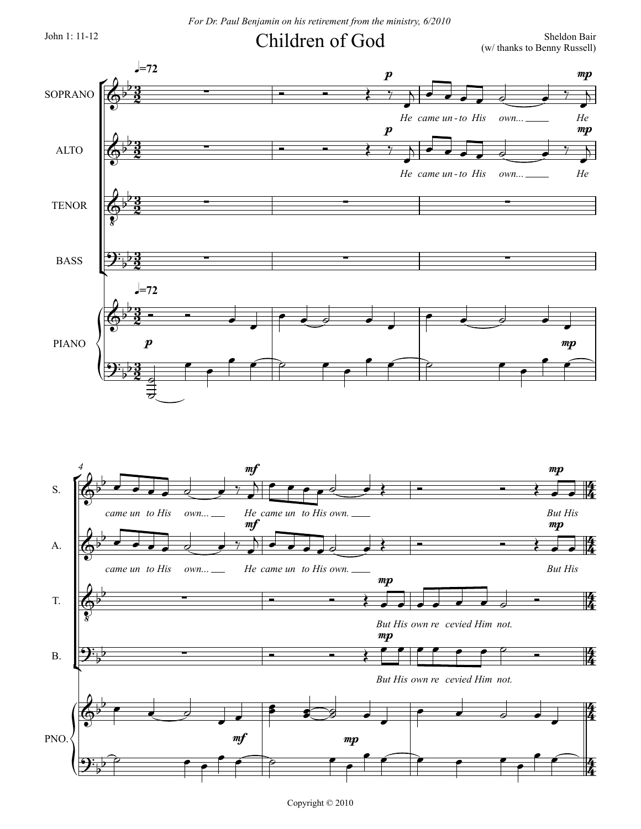## John 1: 11-12 Children of God

Sheldon Bair (w/ thanks to Benny Russell)

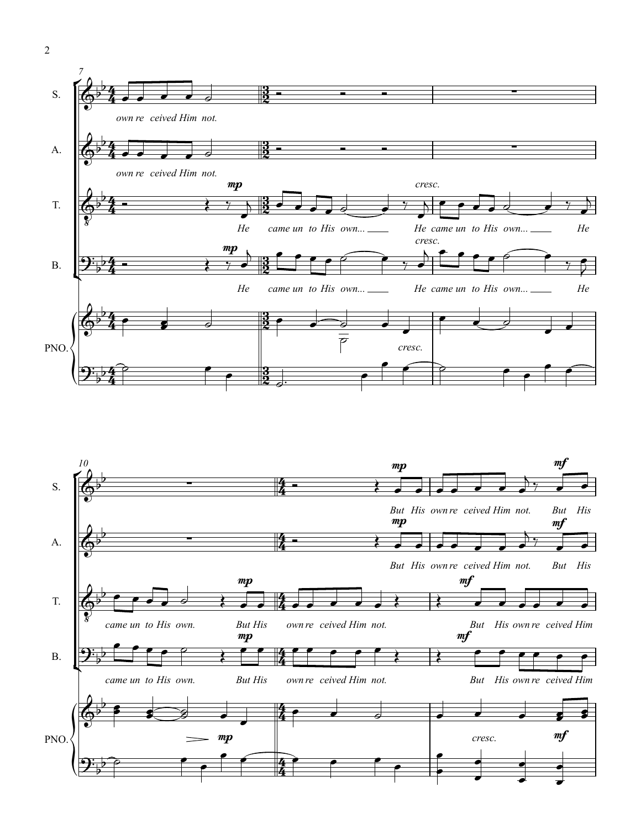